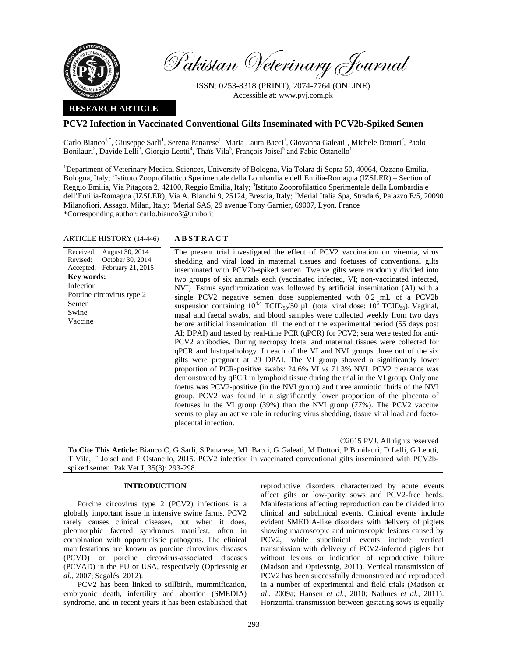

Pakistan Veterinary Journal

ISSN: 0253-8318 (PRINT), 2074-7764 (ONLINE) Accessible at: www.pvj.com.pk

# **RESEARCH ARTICLE**

# **PCV2 Infection in Vaccinated Conventional Gilts Inseminated with PCV2b-Spiked Semen**

Carlo Bianco<sup>1,\*</sup>, Giuseppe Sarli<sup>1</sup>, Serena Panarese<sup>1</sup>, Maria Laura Bacci<sup>1</sup>, Giovanna Galeati<sup>1</sup>, Michele Dottori<sup>2</sup>, Paolo Bonilauri<sup>2</sup>, Davide Lelli<sup>3</sup>, Giorgio Leotti<sup>4</sup>, Thaïs Vila<sup>5</sup>, François Joisel<sup>5</sup> and Fabio Ostanello<sup>1</sup>

<sup>1</sup>Department of Veterinary Medical Sciences, University of Bologna, Via Tolara di Sopra 50, 40064, Ozzano Emilia, Bologna, Italy; <sup>2</sup>Istituto Zooprofilattico Sperimentale della Lombardia e dell'Emilia-Romagna (IZSLER) – Section of Reggio Emilia, Via Pitagora 2, 42100, Reggio Emilia, Italy; <sup>3</sup>Istituto Zooprofilattico Sperimentale della Lombardia e dell'Emilia-Romagna (IZSLER), Via A. Bianchi 9, 25124, Brescia, Italy; <sup>4</sup>Merial Italia Spa, Strada 6, Palazzo E/5, 20090 Milanofiori, Assago, Milan, Italy; <sup>5</sup>Merial SAS, 29 avenue Tony Garnier, 69007, Lyon, France \*Corresponding author: carlo.bianco3@unibo.it

## ARTICLE HISTORY (14-446) **ABSTRACT**

Received: August 30, 2014 Revised: Accepted: October 30, 2014 February 21, 2015 **Key words:**  Infection Porcine circovirus type 2 Semen Swine Vaccine

 The present trial investigated the effect of PCV2 vaccination on viremia, virus shedding and viral load in maternal tissues and foetuses of conventional gilts inseminated with PCV2b-spiked semen. Twelve gilts were randomly divided into two groups of six animals each (vaccinated infected, VI; non-vaccinated infected, NVI). Estrus synchronization was followed by artificial insemination (AI) with a single PCV2 negative semen dose supplemented with 0.2 mL of a PCV2b suspension containing  $10^{4.4}$  TCID<sub>50</sub>/50  $\mu L$  (total viral dose:  $10^5$  TCID<sub>50</sub>). Vaginal, nasal and faecal swabs, and blood samples were collected weekly from two days before artificial insemination till the end of the experimental period (55 days post AI; DPAI) and tested by real-time PCR (qPCR) for PCV2; sera were tested for anti-PCV2 antibodies. During necropsy foetal and maternal tissues were collected for qPCR and histopathology. In each of the VI and NVI groups three out of the six gilts were pregnant at 29 DPAI. The VI group showed a significantly lower proportion of PCR-positive swabs: 24.6% VI *vs* 71.3% NVI. PCV2 clearance was demonstrated by qPCR in lymphoid tissue during the trial in the VI group. Only one foetus was PCV2-positive (in the NVI group) and three amniotic fluids of the NVI group. PCV2 was found in a significantly lower proportion of the placenta of foetuses in the VI group (39%) than the NVI group (77%). The PCV2 vaccine seems to play an active role in reducing virus shedding, tissue viral load and foetoplacental infection.

©2015 PVJ. All rights reserved

**To Cite This Article:** Bianco C, G Sarli, S Panarese, ML Bacci, G Galeati, M Dottori, P Bonilauri, D Lelli, G Leotti, T Vila, F Joisel and F Ostanello, 2015. PCV2 infection in vaccinated conventional gilts inseminated with PCV2bspiked semen. Pak Vet J, 35(3): 293-298.

## **INTRODUCTION**

Porcine circovirus type 2 (PCV2) infections is a globally important issue in intensive swine farms. PCV2 rarely causes clinical diseases, but when it does, pleomorphic faceted syndromes manifest, often in combination with opportunistic pathogens. The clinical manifestations are known as porcine circovirus diseases (PCVD) or porcine circovirus-associated diseases (PCVAD) in the EU or USA, respectively (Opriessnig *et al.,* 2007; Segalés, 2012).

PCV2 has been linked to stillbirth, mummification, embryonic death, infertility and abortion (SMEDIA) syndrome, and in recent years it has been established that reproductive disorders characterized by acute events affect gilts or low-parity sows and PCV2-free herds. Manifestations affecting reproduction can be divided into clinical and subclinical events. Clinical events include evident SMEDIA-like disorders with delivery of piglets showing macroscopic and microscopic lesions caused by PCV2, while subclinical events include vertical transmission with delivery of PCV2-infected piglets but without lesions or indication of reproductive failure (Madson and Opriessnig, 2011). Vertical transmission of PCV2 has been successfully demonstrated and reproduced in a number of experimental and field trials (Madson *et al*., 2009a; Hansen *et al.,* 2010; Nathues *et al.,* 2011). Horizontal transmission between gestating sows is equally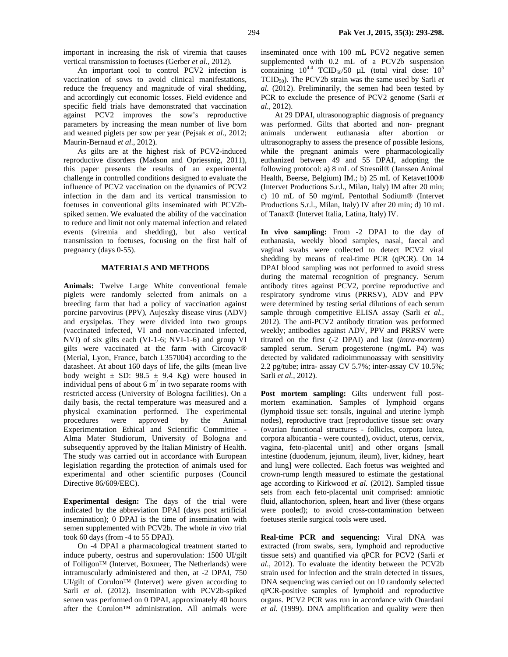important in increasing the risk of viremia that causes vertical transmission to foetuses (Gerber *et al.,* 2012).

An important tool to control PCV2 infection is vaccination of sows to avoid clinical manifestations, reduce the frequency and magnitude of viral shedding, and accordingly cut economic losses. Field evidence and specific field trials have demonstrated that vaccination against PCV2 improves the sow's reproductive parameters by increasing the mean number of live born and weaned piglets per sow per year (Pejsak *et al.,* 2012; Maurin-Bernaud *et al*., 2012).

As gilts are at the highest risk of PCV2-induced reproductive disorders (Madson and Opriessnig, 2011), this paper presents the results of an experimental challenge in controlled conditions designed to evaluate the influence of PCV2 vaccination on the dynamics of PCV2 infection in the dam and its vertical transmission to foetuses in conventional gilts inseminated with PCV2bspiked semen. We evaluated the ability of the vaccination to reduce and limit not only maternal infection and related events (viremia and shedding), but also vertical transmission to foetuses, focusing on the first half of pregnancy (days 0-55).

## **MATERIALS AND METHODS**

**Animals:** Twelve Large White conventional female piglets were randomly selected from animals on a breeding farm that had a policy of vaccination against porcine parvovirus (PPV), Aujeszky disease virus (ADV) and erysipelas. They were divided into two groups (vaccinated infected, VI and non-vaccinated infected, NVI) of six gilts each (VI-1-6; NVI-1-6) and group VI gilts were vaccinated at the farm with Circovac® (Merial, Lyon, France, batch L357004) according to the datasheet. At about 160 days of life, the gilts (mean live body weight  $\pm$  SD: 98.5  $\pm$  9.4 Kg) were housed in individual pens of about  $6 \text{ m}^2$  in two separate rooms with restricted access (University of Bologna facilities). On a daily basis, the rectal temperature was measured and a physical examination performed. The experimental procedures were approved by the Animal Experimentation Ethical and Scientific Committee - Alma Mater Studiorum, University of Bologna and subsequently approved by the Italian Ministry of Health. The study was carried out in accordance with European legislation regarding the protection of animals used for experimental and other scientific purposes (Council Directive 86/609/EEC).

**Experimental design:** The days of the trial were indicated by the abbreviation DPAI (days post artificial insemination); 0 DPAI is the time of insemination with semen supplemented with PCV2b. The whole *in vivo* trial took 60 days (from -4 to 55 DPAI).

On -4 DPAI a pharmacological treatment started to induce puberty, oestrus and superovulation: 1500 UI/gilt of Folligon™ (Intervet, Boxmeer, The Netherlands) were intramuscularly administered and then, at -2 DPAI, 750 UI/gilt of Corulon™ (Intervet) were given according to Sarli *et al.* (2012). Insemination with PCV2b-spiked semen was performed on 0 DPAI, approximately 40 hours after the Corulon™ administration. All animals were

inseminated once with 100 mL PCV2 negative semen supplemented with 0.2 mL of a PCV2b suspension containing  $10^{4.4}$  TCID<sub>50</sub>/50  $\mu$ L (total viral dose:  $10^5$ TCID50). The PCV2b strain was the same used by Sarli *et al.* (2012). Preliminarily, the semen had been tested by PCR to exclude the presence of PCV2 genome (Sarli *et al.,* 2012).

At 29 DPAI, ultrasonographic diagnosis of pregnancy was performed. Gilts that aborted and non- pregnant animals underwent euthanasia after abortion or ultrasonography to assess the presence of possible lesions, while the pregnant animals were pharmacologically euthanized between 49 and 55 DPAI, adopting the following protocol: a) 8 mL of Stresnil® (Janssen Animal Health, Beerse, Belgium) IM.; b) 25 mL of Ketavet100® (Intervet Productions S.r.l., Milan, Italy) IM after 20 min; c) 10 mL of 50 mg/mL Pentothal Sodium® (Intervet Productions S.r.l., Milan, Italy) IV after 20 min; d) 10 mL of Tanax® (Intervet Italia, Latina, Italy) IV.

**In vivo sampling:** From -2 DPAI to the day of euthanasia, weekly blood samples, nasal, faecal and vaginal swabs were collected to detect PCV2 viral shedding by means of real-time PCR (qPCR). On 14 DPAI blood sampling was not performed to avoid stress during the maternal recognition of pregnancy. Serum antibody titres against PCV2, porcine reproductive and respiratory syndrome virus (PRRSV), ADV and PPV were determined by testing serial dilutions of each serum sample through competitive ELISA assay (Sarli *et al.,* 2012). The anti-PCV2 antibody titration was performed weekly; antibodies against ADV, PPV and PRRSV were titrated on the first (-2 DPAI) and last (*intra-mortem*) sampled serum. Serum progesterone (ng/mL P4) was detected by validated radioimmunoassay with sensitivity 2.2 pg/tube; intra- assay CV 5.7%; inter-assay CV 10.5%; Sarli *et al.,* 2012).

Post mortem sampling: Gilts underwent full postmortem examination. Samples of lymphoid organs (lymphoid tissue set: tonsils, inguinal and uterine lymph nodes), reproductive tract [reproductive tissue set: ovary (ovarian functional structures - follicles, corpora lutea, corpora albicantia - were counted), oviduct, uterus, cervix, vagina, feto-placental unit] and other organs [small intestine (duodenum, jejunum, ileum), liver, kidney, heart and lung] were collected. Each foetus was weighted and crown-rump length measured to estimate the gestational age according to Kirkwood *et al.* (2012). Sampled tissue sets from each feto-placental unit comprised: amniotic fluid, allantochorion, spleen, heart and liver (these organs were pooled); to avoid cross-contamination between foetuses sterile surgical tools were used.

**Real-time PCR and sequencing:** Viral DNA was extracted (from swabs, sera, lymphoid and reproductive tissue sets) and quantified via qPCR for PCV2 (Sarli *et al.*, 2012). To evaluate the identity between the PCV2b strain used for infection and the strain detected in tissues, DNA sequencing was carried out on 10 randomly selected qPCR-positive samples of lymphoid and reproductive organs. PCV2 PCR was run in accordance with Ouardani *et al.* (1999). DNA amplification and quality were then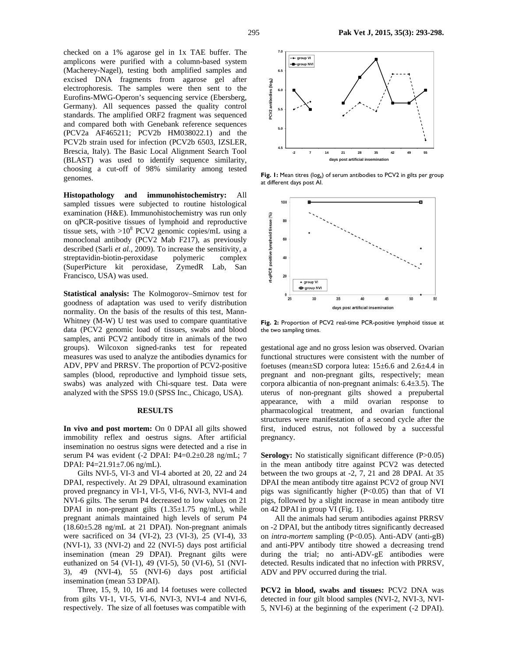checked on a 1% agarose gel in 1x TAE buffer. The amplicons were purified with a column-based system (Macherey-Nagel), testing both amplified samples and excised DNA fragments from agarose gel after electrophoresis. The samples were then sent to the Eurofins-MWG-Operon's sequencing service (Ebersberg, Germany). All sequences passed the quality control standards. The amplified ORF2 fragment was sequenced and compared both with Genebank reference sequences (PCV2a AF465211; PCV2b HM038022.1) and the PCV2b strain used for infection (PCV2b 6503, IZSLER, Brescia, Italy). The Basic Local Alignment Search Tool (BLAST) was used to identify sequence similarity, choosing a cut-off of 98% similarity among tested genomes.

**Histopathology and immunohistochemistry:** All sampled tissues were subjected to routine histological examination (H&E). Immunohistochemistry was run only on qPCR-positive tissues of lymphoid and reproductive tissue sets, with  $>10^8$  PCV2 genomic copies/mL using a monoclonal antibody (PCV2 Mab F217), as previously described (Sarli *et al.*, 2009). To increase the sensitivity, a streptavidin-biotin-peroxidase polymeric complex (SuperPicture kit peroxidase, ZymedR Lab, San Francisco, USA) was used.

**Statistical analysis:** The Kolmogorov–Smirnov test for goodness of adaptation was used to verify distribution normality. On the basis of the results of this test, Mann-Whitney (M-W) U test was used to compare quantitative data (PCV2 genomic load of tissues, swabs and blood samples, anti PCV2 antibody titre in animals of the two groups). Wilcoxon signed-ranks test for repeated measures was used to analyze the antibodies dynamics for ADV, PPV and PRRSV. The proportion of PCV2-positive samples (blood, reproductive and lymphoid tissue sets, swabs) was analyzed with Chi-square test. Data were analyzed with the SPSS 19.0 (SPSS Inc., Chicago, USA).

### **RESULTS**

**In vivo and post mortem:** On 0 DPAI all gilts showed immobility reflex and oestrus signs. After artificial insemination no oestrus signs were detected and a rise in serum P4 was evident (-2 DPAI: P4=0.2±0.28 ng/mL; 7 DPAI: P4=21.91±7.06 ng/mL).

Gilts NVI-5, VI-3 and VI-4 aborted at 20, 22 and 24 DPAI, respectively. At 29 DPAI, ultrasound examination proved pregnancy in VI-1, VI-5, VI-6, NVI-3, NVI-4 and NVI-6 gilts. The serum P4 decreased to low values on 21 DPAI in non-pregnant gilts  $(1.35 \pm 1.75 \text{ ng/mL})$ , while pregnant animals maintained high levels of serum P4  $(18.60\pm5.28 \text{ ng/mL}$  at 21 DPAI). Non-pregnant animals were sacrificed on 34 (VI-2), 23 (VI-3), 25 (VI-4), 33 (NVI-1), 33 (NVI-2) and 22 (NVI-5) days post artificial insemination (mean 29 DPAI). Pregnant gilts were euthanized on 54 (VI-1), 49 (VI-5), 50 (VI-6), 51 (NVI-3), 49 (NVI-4), 55 (NVI-6) days post artificial insemination (mean 53 DPAI).

Three, 15, 9, 10, 16 and 14 foetuses were collected from gilts VI-1, VI-5, VI-6, NVI-3, NVI-4 and NVI-6, respectively. The size of all foetuses was compatible with



**Fig. 1:** Mean titres (log<sub>6</sub>) of serum antibodies to PCV2 in gilts per group at different days post AI.



Fig. 2: Proportion of PCV2 real-time PCR-positive lymphoid tissue at the two sampling times.

gestational age and no gross lesion was observed. Ovarian functional structures were consistent with the number of foetuses (mean±SD corpora lutea: 15±6.6 and 2.6±4.4 in pregnant and non-pregnant gilts, respectively; mean corpora albicantia of non-pregnant animals: 6.4±3.5). The uterus of non-pregnant gilts showed a prepubertal appearance, with a mild ovarian response to pharmacological treatment, and ovarian functional structures were manifestation of a second cycle after the first, induced estrus, not followed by a successful pregnancy.

**Serology:** No statistically significant difference (P>0.05) in the mean antibody titre against PCV2 was detected between the two groups at -2, 7, 21 and 28 DPAI. At 35 DPAI the mean antibody titre against PCV2 of group NVI pigs was significantly higher (P<0.05) than that of VI pigs, followed by a slight increase in mean antibody titre on 42 DPAI in group VI (Fig. 1).

All the animals had serum antibodies against PRRSV on -2 DPAI, but the antibody titres significantly decreased on *intra-mortem* sampling (P<0.05). Anti-ADV (anti-gB) and anti-PPV antibody titre showed a decreasing trend during the trial; no anti-ADV-gE antibodies were detected. Results indicated that no infection with PRRSV, ADV and PPV occurred during the trial.

**PCV2 in blood, swabs and tissues:** PCV2 DNA was detected in four gilt blood samples (NVI-2, NVI-3, NVI-5, NVI-6) at the beginning of the experiment (-2 DPAI).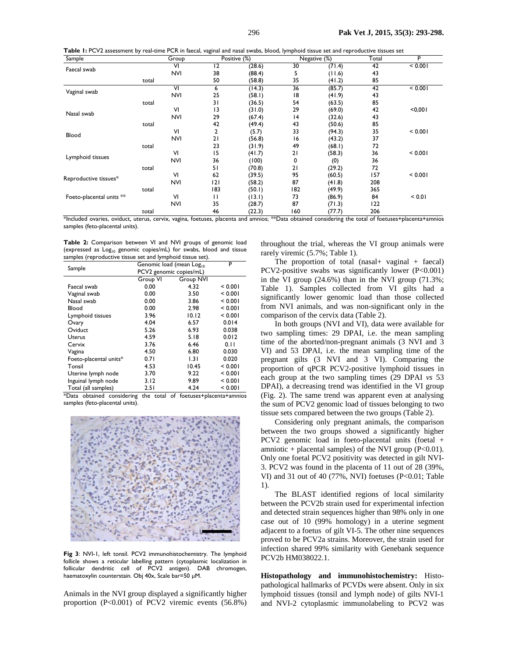**Table 1:** PCV2 assessment by real-time PCR in faecal, vaginal and nasal swabs, blood, lymphoid tissue set and reproductive tissues set

| Sample                   |       | Group      |                 | Positive (%) |     | Negative (%) | Total | P       |
|--------------------------|-------|------------|-----------------|--------------|-----|--------------|-------|---------|
|                          |       | ٧I         | $\overline{12}$ | (28.6)       | 30  | (71.4)       | 42    | < 0.001 |
| Faecal swab              |       | <b>NVI</b> | 38              | (88.4)       | 5   | (11.6)       | 43    |         |
|                          | total |            | 50              | (58.8)       | 35  | (41.2)       | 85    |         |
|                          |       | ٧I         | 6               | (14.3)       | 36  | (85.7)       | 42    | < 0.001 |
| Vaginal swab             |       | <b>NVI</b> | 25              | (58.1)       | 18  | (41.9)       | 43    |         |
|                          | total |            | 31              | (36.5)       | 54  | (63.5)       | 85    |         |
| Nasal swab               |       | VI         | 13              | (31.0)       | 29  | (69.0)       | 42    | < 0.001 |
|                          |       | <b>NVI</b> | 29              | (67.4)       | 4   | (32.6)       | 43    |         |
|                          | total |            | 42              | (49.4)       | 43  | (50.6)       | 85    |         |
|                          |       | VI         | 2               | (5.7)        | 33  | (94.3)       | 35    | < 0.001 |
| Blood                    |       | <b>NVI</b> | 21              | (56.8)       | 16  | (43.2)       | 37    |         |
|                          | total |            | 23              | (31.9)       | 49  | (68.1)       | 72    |         |
| Lymphoid tissues         |       | VI         | 15              | (41.7)       | 21  | (58.3)       | 36    | < 0.001 |
|                          |       | <b>NVI</b> | 36              | (100)        | 0   | (0)          | 36    |         |
|                          | total |            | 51              | (70.8)       | 21  | (29.2)       | 72    |         |
| Reproductive tissues*    |       | VI         | 62              | (39.5)       | 95  | (60.5)       | 157   | < 0.001 |
|                          |       | NVI        | 121             | (58.2)       | 87  | (41.8)       | 208   |         |
|                          | total |            | 183             | (50.1)       | 182 | (49.9)       | 365   |         |
| Foeto-placental units ** |       | VI         | П               | (13.1)       | 73  | (86.9)       | 84    | < 0.01  |
|                          |       | <b>NVI</b> | 35              | (28.7)       | 87  | (71.3)       | 122   |         |
|                          | total |            | 46              | (22.3)       | 160 | (77.7)       | 206   |         |

\*Included ovaries, oviduct, uterus, cervix, vagina, foetuses, placenta and amnios; \*\*Data obtained considering the total of foetuses+placenta+amnios samples (feto-placental units).

**Table 2:** Comparison between VI and NVI groups of genomic load (expressed as  $Log_{10}$  genomic copies/mL) for swabs, blood and tissue samples (reproductive tissue set and lymphoid tissue set).

| Sample                 | Genomic load (mean Log <sub>10</sub> | P         |         |
|------------------------|--------------------------------------|-----------|---------|
|                        | PCV2 genomic copies/mL)              |           |         |
|                        | Group VI                             | Group NVI |         |
| Faecal swab            | 0.00                                 | 4.32      | < 0.001 |
| Vaginal swab           | 0.00                                 | 3.50      | < 0.001 |
| Nasal swab             | 0.00                                 | 3.86      | < 0.001 |
| Blood                  | 0.00                                 | 2.98      | < 0.001 |
| Lymphoid tissues       | 3.96                                 | 10.12     | < 0.001 |
| Ovary                  | 4.04                                 | 6.57      | 0.014   |
| Oviduct                | 5.26                                 | 6.93      | 0.038   |
| Uterus                 | 4.59                                 | 5.18      | 0.012   |
| Cervix                 | 3.76                                 | 6.46      | 0.11    |
| Vagina                 | 4.50                                 | 6.80      | 0.030   |
| Foeto-placental units* | 0.71                                 | 1.31      | 0.020   |
| Tonsil                 | 4.53                                 | 10.45     | < 0.001 |
| Uterine lymph node     | 3.70                                 | 9.22      | < 0.001 |
| Inguinal lymph node    | 3.12                                 | 9.89      | < 0.001 |
| Total (all samples)    | 2.51                                 | 4.24      | < 0.001 |

\*Data obtained considering the total of foetuses+placenta+amnios samples (feto-placental units).



**Fig 3**: NVI-1, left tonsil. PCV2 immunohistochemistry. The lymphoid follicle shows a reticular labelling pattern (cytoplasmic localization in follicular dendritic cell of PCV2 antigen). DAB chromogen, haematoxylin counterstain. Obj 40x, Scale bar=50 µM.

Animals in the NVI group displayed a significantly higher proportion (P<0.001) of PCV2 viremic events (56.8%) throughout the trial, whereas the VI group animals were rarely viremic (5.7%; Table 1).

The proportion of total  $(nasal + vaginal + faccal)$ PCV2-positive swabs was significantly lower  $(P<0.001)$ in the VI group  $(24.6\%)$  than in the NVI group  $(71.3\%$ ; Table 1). Samples collected from VI gilts had a significantly lower genomic load than those collected from NVI animals, and was non-significant only in the comparison of the cervix data (Table 2).

In both groups (NVI and VI), data were available for two sampling times: 29 DPAI, i.e. the mean sampling time of the aborted/non-pregnant animals (3 NVI and 3 VI) and 53 DPAI, i.e. the mean sampling time of the pregnant gilts (3 NVI and 3 VI). Comparing the proportion of qPCR PCV2-positive lymphoid tissues in each group at the two sampling times (29 DPAI *vs* 53 DPAI), a decreasing trend was identified in the VI group (Fig. 2). The same trend was apparent even at analysing the sum of PCV2 genomic load of tissues belonging to two tissue sets compared between the two groups (Table 2).

Considering only pregnant animals, the comparison between the two groups showed a significantly higher PCV2 genomic load in foeto-placental units (foetal + amniotic + placental samples) of the NVI group  $(P<0.01)$ . Only one foetal PCV2 positivity was detected in gilt NVI-3. PCV2 was found in the placenta of 11 out of 28 (39%, VI) and 31 out of 40 (77%, NVI) foetuses (P<0.01; Table 1).

The BLAST identified regions of local similarity between the PCV2b strain used for experimental infection and detected strain sequences higher than 98% only in one case out of 10 (99% homology) in a uterine segment adjacent to a foetus of gilt VI-5. The other nine sequences proved to be PCV2a strains. Moreover, the strain used for infection shared 99% similarity with Genebank sequence PCV2b HM038022.1.

**Histopathology and immunohistochemistry:** Histopathological hallmarks of PCVDs were absent. Only in six lymphoid tissues (tonsil and lymph node) of gilts NVI-1 and NVI-2 cytoplasmic immunolabeling to PCV2 was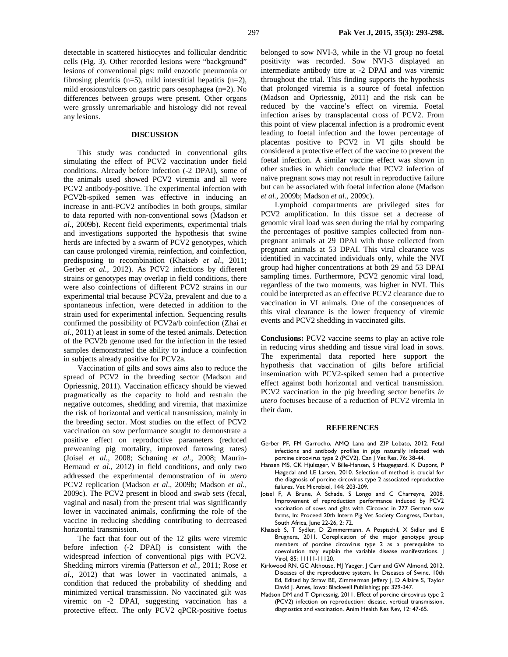detectable in scattered histiocytes and follicular dendritic cells (Fig. 3). Other recorded lesions were "background" lesions of conventional pigs: mild enzootic pneumonia or fibrosing pleuritis (n=5), mild interstitial hepatitis (n=2), mild erosions/ulcers on gastric pars oesophagea (n=2). No differences between groups were present. Other organs were grossly unremarkable and histology did not reveal any lesions.

## **DISCUSSION**

This study was conducted in conventional gilts simulating the effect of PCV2 vaccination under field conditions. Already before infection (-2 DPAI), some of the animals used showed PCV2 viremia and all were PCV2 antibody-positive. The experimental infection with PCV2b-spiked semen was effective in inducing an increase in anti-PCV2 antibodies in both groups, similar to data reported with non-conventional sows (Madson *et al.,* 2009b). Recent field experiments, experimental trials and investigations supported the hypothesis that swine herds are infected by a swarm of PCV2 genotypes, which can cause prolonged viremia, reinfection, and coinfection, predisposing to recombination (Khaiseb *et al*., 2011; Gerber *et al.,* 2012). As PCV2 infections by different strains or genotypes may overlap in field conditions, there were also coinfections of different PCV2 strains in our experimental trial because PCV2a, prevalent and due to a spontaneous infection, were detected in addition to the strain used for experimental infection. Sequencing results confirmed the possibility of PCV2a/b coinfection (Zhai *et al.,* 2011) at least in some of the tested animals. Detection of the PCV2b genome used for the infection in the tested samples demonstrated the ability to induce a coinfection in subjects already positive for PCV2a.

Vaccination of gilts and sows aims also to reduce the spread of PCV2 in the breeding sector (Madson and Opriessnig, 2011). Vaccination efficacy should be viewed pragmatically as the capacity to hold and restrain the negative outcomes, shedding and viremia, that maximize the risk of horizontal and vertical transmission, mainly in the breeding sector. Most studies on the effect of PCV2 vaccination on sow performance sought to demonstrate a positive effect on reproductive parameters (reduced preweaning pig mortality, improved farrowing rates) (Joisel *et al.,* 2008; Schøning *et al.,* 2008; Maurin-Bernaud *et al.,* 2012) in field conditions, and only two addressed the experimental demonstration of *in utero* PCV2 replication (Madson *et al*., 2009b; Madson *et al.,* 2009c). The PCV2 present in blood and swab sets (fecal, vaginal and nasal) from the present trial was significantly lower in vaccinated animals, confirming the role of the vaccine in reducing shedding contributing to decreased horizontal transmission.

The fact that four out of the 12 gilts were viremic before infection (-2 DPAI) is consistent with the widespread infection of conventional pigs with PCV2. Shedding mirrors viremia (Patterson *et al.,* 2011; Rose *et al.,* 2012) that was lower in vaccinated animals, a condition that reduced the probability of shedding and minimized vertical transmission. No vaccinated gilt was viremic on -2 DPAI, suggesting vaccination has a protective effect. The only PCV2 qPCR-positive foetus

belonged to sow NVI-3, while in the VI group no foetal positivity was recorded. Sow NVI-3 displayed an intermediate antibody titre at -2 DPAI and was viremic throughout the trial. This finding supports the hypothesis that prolonged viremia is a source of foetal infection (Madson and Opriessnig, 2011) and the risk can be reduced by the vaccine's effect on viremia. Foetal infection arises by transplacental cross of PCV2. From this point of view placental infection is a prodromic event leading to foetal infection and the lower percentage of placentas positive to PCV2 in VI gilts should be considered a protective effect of the vaccine to prevent the foetal infection. A similar vaccine effect was shown in other studies in which conclude that PCV2 infection of naïve pregnant sows may not result in reproductive failure but can be associated with foetal infection alone (Madson *et al.,* 2009b; Madson *et al.,* 2009c).

Lymphoid compartments are privileged sites for PCV2 amplification. In this tissue set a decrease of genomic viral load was seen during the trial by comparing the percentages of positive samples collected from nonpregnant animals at 29 DPAI with those collected from pregnant animals at 53 DPAI. This viral clearance was identified in vaccinated individuals only, while the NVI group had higher concentrations at both 29 and 53 DPAI sampling times. Furthermore, PCV2 genomic viral load, regardless of the two moments, was higher in NVI. This could be interpreted as an effective PCV2 clearance due to vaccination in VI animals. One of the consequences of this viral clearance is the lower frequency of viremic events and PCV2 shedding in vaccinated gilts.

**Conclusions:** PCV2 vaccine seems to play an active role in reducing virus shedding and tissue viral load in sows. The experimental data reported here support the hypothesis that vaccination of gilts before artificial insemination with PCV2-spiked semen had a protective effect against both horizontal and vertical transmission. PCV2 vaccination in the pig breeding sector benefits *in utero* foetuses because of a reduction of PCV2 viremia in their dam.

#### **REFERENCES**

- Gerber PF, FM Garrocho, AMQ Lana and ZIP Lobato, 2012. Fetal infections and antibody profiles in pigs naturally infected with porcine circovirus type 2 (PCV2). Can J Vet Res, 76: 38-44.
- Hansen MS, CK Hjulsager, V Bille-Hansen, S Haugegaard, K Dupont, P Høgedal and LE Larsen, 2010. Selection of method is crucial for the diagnosis of porcine circovirus type 2 associated reproductive failures. Vet Microbiol, 144: 203-209.
- Joisel F, A Brune, A Schade, S Longo and C Charreyre, 2008. Improvement of reproduction performance induced by PCV2 vaccination of sows and gilts with Circovac in 277 German sow farms, In: Proceed 20th Intern Pig Vet Society Congress, Durban, South Africa, June 22-26, 2: 72.
- Khaiseb S, T Sydler, D Zimmermann, A Pospischil, X Sidler and E Brugnera, 2011. Coreplication of the major genotype group members of porcine circovirus type 2 as a prerequisite to coevolution may explain the variable disease manifestations. J Virol, 85: 11111-11120.
- Kirkwood RN, GC Althouse, MJ Yaeger, J Carr and GW Almond, 2012. Diseases of the reproductive system. In: Diseases of Swine. 10th Ed, Edited by Straw BE, Zimmerman Jeffery J, D Allaire S, Taylor David J. Ames, Iowa: Blackwell Publishing; pp: 329-347.
- Madson DM and T Opriessnig, 2011. Effect of porcine circovirus type 2 (PCV2) infection on reproduction: disease, vertical transmission, diagnostics and vaccination. Anim Health Res Rev, 12: 47-65.